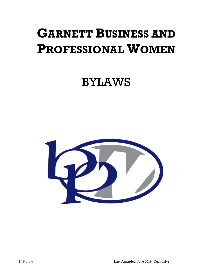# **GARNETT BUSINESS AND PROFESSIONAL WOMEN**

## BYLAWS

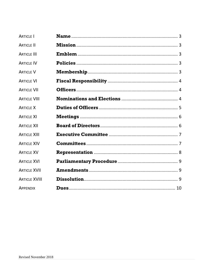| <b>ARTICLE I</b>     |  |
|----------------------|--|
| <b>ARTICLE II</b>    |  |
| <b>ARTICLE III</b>   |  |
| <b>ARTICLE IV</b>    |  |
| <b>ARTICLE V</b>     |  |
| <b>ARTICLE VI</b>    |  |
| <b>ARTICLF VII</b>   |  |
| <b>ARTICLE VIII</b>  |  |
| <b>ARTICLE X</b>     |  |
| <b>ARTICLE XI</b>    |  |
| <b>ARTICLE XII</b>   |  |
| <b>ARTICLE XIII</b>  |  |
| <b>ARTICLE XIV</b>   |  |
| <b>ARTICLE XV</b>    |  |
| <b>ARTICLE XVI</b>   |  |
| <b>ARTICLE XVII</b>  |  |
| <b>ARTICLE XVIII</b> |  |
| <b>APPENDIX</b>      |  |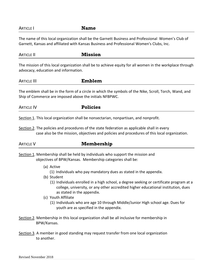#### ARTICLE I **Name**

The name of this local organization shall be the Garnett Business and Professional Women's Club of Garnett, Kansas and affiliated with Kansas Business and Professional Women's Clubs, Inc.

ARTICLE II **Mission** The mission of this local organization shall be to achieve equity for all women in the workplace through advocacy, education and information.

ARTICLE III **Emblem**

The emblem shall be in the form of a circle in which the symbols of the Nike, Scroll, Torch, Wand, and Ship of Commerce are imposed above the initials NFBPWC.

ARTICLE IV **Policies**

Section 1. This local organization shall be nonsectarian, nonpartisan, and nonprofit.

Section 2. The policies and procedures of the state federation as applicable shall in every case also be the mission, objectives and policies and procedures of this local organization.

| <b>ARTICLE V</b> | Membership |
|------------------|------------|
|                  |            |

Section 1. Membership shall be held by individuals who support the mission and objectives of BPW/Kansas. Membership categories shall be:

- (a) Active
	- (1) Individuals who pay mandatory dues as stated in the appendix.
- (b) Student
	- (1) Individuals enrolled in a high school, a degree seeking or certificate program at a college, university, or any other accredited higher educational institution, dues as stated in the appendix.
- (c) Youth Affiliate
	- (1) Individuals who are age 10 through Middle/Junior High school age. Dues for youth are as specified in the appendix.
- Section 2. Membership in this local organization shall be all inclusive for membership in BPW/Kansas.
- Section 3. A member in good standing may request transfer from one local organization to another.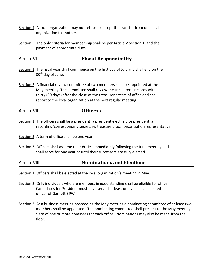- Section 4. A local organization may not refuse to accept the transfer from one local organization to another.
- Section 5. The only criteria for membership shall be per Article V Section 1, and the payment of appropriate dues.

#### ARTICLE VI **Fiscal Responsibility**

- Section 1. The fiscal year shall commence on the first day of July and shall end on the 30<sup>th</sup> day of June.
- Section 2. A financial review committee of two members shall be appointed at the May meeting. The committee shall review the treasurer's records within thirty (30 days) after the close of the treasurer's term of office and shall report to the local organization at the next regular meeting.

ARTICLE VII **Officers**

Section 1. The officers shall be a president, a president elect, a vice president, a recording/corresponding secretary, treasurer, local organization representative.

Section 2. A term of office shall be one year.

Section 3. Officers shall assume their duties immediately following the June meeting and shall serve for one year or until their successors are duly elected.

#### ARTICLE VIII **Nominations and Elections**

- Section 1. Officers shall be elected at the local organization's meeting in May.
- Section 2. Only individuals who are members in good standing shall be eligible for office. Candidates for President must have served at least one year as an elected officer of Garnett BPW.
- Section 3. At a business meeting proceeding the May meeting a nominating committee of at least two members shall be appointed. The nominating committee shall present to the May meeting a slate of one or more nominees for each office. Nominations may also be made from the floor.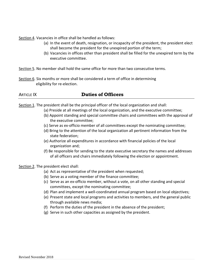Section 4. Vacancies in office shall be handled as follows:

- (a) In the event of death, resignation, or incapacity of the president, the president elect shall become the president for the unexpired portion of the term;
- (b) Vacancies in offices other than president shall be filled for the unexpired term by the executive committee.

Section 5. No member shall hold the same office for more than two consecutive terms.

Section 6. Six months or more shall be considered a term of office in determining eligibility for re-election.

### ARTICLE IX **Duties of Officers**

Section 1. The president shall be the principal officer of the local organization and shall:

- (a) Preside at all meetings of the local organization, and the executive committee;
- (b) Appoint standing and special committee chairs and committees with the approval of the executive committee;
- (c) Serve as ex-officio member of all committees except the nominating committee;
- (d) Bring to the attention of the local organization all pertinent information from the state federation;
- (e) Authorize all expenditures in accordance with financial policies of the local organization and;
- (f) Be responsible for sending to the state executive secretary the names and addresses of all officers and chairs immediately following the election or appointment.

Section 2. The president elect shall:

- (a) Act as representative of the president when requested;
- (b) Serve as a voting member of the finance committee;
- (c) Serve as an ex-officio member, without a vote, on all other standing and special committees, except the nominating committee;
- (d) Plan and implement a well-coordinated annual program based on local objectives;
- (e) Present state and local programs and activities to members, and the general public through available news media;
- (f) Perform the duties of the president in the absence of the president;
- (g) Serve in such other capacities as assigned by the president.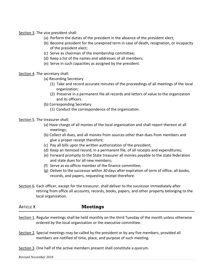Section 3. The vice president shall:

- (a) Perform the duties of the president in the absence of the president elect;
- (b) Become president for the unexpired term in case of death, resignation, or incapacity of the president elect;
- (c) Serve as chairman of the membership committee;
- (d) Keep a list of the names and addresses of all members;
- (e) Serve in such capacities as assigned by the president.

Section 4. The secretary shall:

- (a) Recording Secretary
	- (1) Take and record accurate minutes of the proceedings of all meetings of the local organization;
	- (2) Preserve in a permanent file all records and letters of value to the organization and its officers.
- (b) Corresponding Secretary
	- (1) Conduct the correspondence of the organization.

Section 5. The treasurer shall:

- (a) Have charge of all monies of the local organization and shall report thereon at all meetings;
- (b) Collect all dues, and all monies from sources other than dues from members and give a proper receipt therefore;
- (c) Pay all bills upon the written authorization of the president;
- (d) Keep an itemized record, in a permanent file, of all receipts and expenditures;
- (e) Forward promptly to the State treasurer all monies payable to the state federation and state dues for all new members;
- (f) Serve as ex-officio member of the finance committee;
- (g) Deliver to the successor within *30* days after expiration of term of office, all books, records, and papers, requesting receipt therefore.
- Section 6. Each officer, except for the treasurer, shall deliver to the successor immediately after retiring from office all accounts, records, books, papers, and other property belonging to the local organization.

#### ARTICLE X **Meetings**

- Section 1. Regular meetings shall be held monthly on the third Tuesday of the month unless otherwise ordered by the local organization or the executive committee.
- Section 2*.* Special meetings may be called by the president or by any five members, provided all members are notified of time, place, and purpose of such meeting.
- Section 3. One half of the active members present shall constitute a quorum.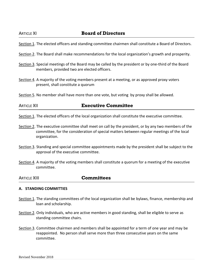#### ARTICLE XI **Board of Directors**

Section 1. The elected officers and standing committee chairmen shall constitute a Board of Directors.

- Section 2. The Board shall make recommendations for the local organization's growth and prosperity.
- Section 3. Special meetings of the Board may be called by the president or by one-third of the Board members, provided two are elected officers.
- Section 4. A majority of the voting members present at a meeting, or as approved proxy voters present, shall constitute a quorum
- Section 5. No member shall have more than one vote, but voting by proxy shall be allowed.

#### ARTICLE XII **Executive Committee**

- Section 1. The elected officers of the local organization shall constitute the executive committee.
- Section 2. The executive committee shall meet on call by the president, or by any two members of the committee, for the consideration of special matters between regular meetings of the local organization.
- Section 3. Standing and special committee appointments made by the president shall be subject to the approval of the executive committee.
- Section 4. A majority of the voting members shall constitute a quorum for a meeting of the executive committee.

ARTICLE XIII **Committees**

#### **A. STANDING COMMITTIES**

- Section 1. The standing committees of the local organization shall be bylaws, finance, membership and loan and scholarship.
- Section 2. Only individuals, who are active members in good standing, shall be eligible to serve as standing committee chairs.
- Section 3. Committee chairmen and members shall be appointed for a term of one year and may be reappointed. No person shall serve more than three consecutive years on the same committee.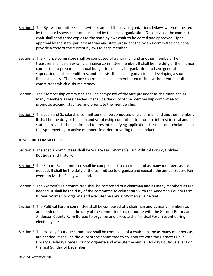- Section 4. The Bylaws committee shall revise or amend the local organizations bylaws when requested by the state bylaws chair or as needed by the local organization. Once revised the committee chair shall send three copies to the state bylaws chair to be edited and approved. Upon approval by the state parliamentarian and state president the bylaws committee chair shall provide a copy of the current bylaws to each member.
- Section 5. The Finance committee shall be composed of a chairman and another member. The treasurer shall be an ex-officio finance committee member. It shall be the duty of the finance committee to prepare an annual budget for the local organization, to have general supervision of all expenditures, and to assist the local organization in developing a sound financial policy. The finance chairman shall be a member ex-officio, without vote, of all committees which disburse money.
- Section 6. The Membership committee shall be composed of the vice president as chairman and as many members as are needed. It shall be the duty of the membership committee to promote, expand, stabilize, and orientate the membership.
- Section 7. The Loan and Scholarship committee shall be composed of a chairman and another member. It shall be the duty of the loan and scholarship committee to promote interest in local and state loans and scholarships and to present qualifying applications for the local scholarship at the April meeting to active members in order for voting to be conducted.

#### **B. SPECIAL COMMITTEES**

- Section 1. The special committees shall be Square Fair, Women's Fair, Political Forum, Holiday Boutique and History.
- Section 2. The Square Fair committee shall be composed of a chairman and as many members as are needed. It shall be the duty of the committee to organize and execute the annual Square Fair event on Mother's day weekend.
- Section 3. The Women's Fair committee shall be composed of a chairman and as many members as are needed. It shall be the duty of the committee to collaborate with the Anderson County Farm Bureau Women to organize and execute the annual Women's Fair event.
- Section 4. The Political Forum committee shall be composed of a chairman and as many members as are needed. It shall be the duty of the committee to collaborate with the Garnett Rotary and Anderson County Farm Bureau to organize and execute the Political Forum event during election years.
- Section 5. The Holiday Boutique committee shall be composed of a chairman and as many members as are needed. It shall be the duty of the committee to collaborate with the Garnett Public Library's Holiday Homes Tour to organize and execute the annual Holiday Boutique event on the first Sunday of December.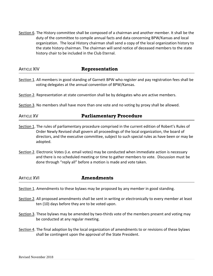Section 6. The History committee shall be composed of a chairman and another member. It shall be the duty of the committee to compile annual facts and data concerning BPW/Kansas and local organization. The local History chairman shall send a copy of the local organization history to the state history chairman. The chairman will send notice of deceased members to the state history chair to be included in the Club Eternal.

| <b>ARTICLE XIV</b> | <b>Representation</b> |
|--------------------|-----------------------|
|--------------------|-----------------------|

- Section 1. All members in good standing of Garnett BPW who register and pay registration fees shall be voting delegates at the annual convention of BPW/Kansas.
- Section 2. Representation at state convention shall be by delegates who are active members.
- Section 3. No members shall have more than one vote and no voting by proxy shall be allowed.

| <b>Parliamentary Procedure</b><br><b>ARTICLE XV</b> |
|-----------------------------------------------------|
|-----------------------------------------------------|

- Section 1. The rules of parliamentary procedure comprised in the current edition of Robert's Rules of Order Newly Revised shall govern all proceedings of the local organization, the board of directors, and the executive committee, subject to such special rules as have been or may be adopted.
- Section 2. Electronic Votes (i.e. email votes) may be conducted when immediate action is necessary and there is no scheduled meeting or time to gather members to vote. Discussion must be done through "reply all" before a motion is made and vote taken.

ARTICLE XVI **Amendments**

- Section 1. Amendments to these bylaws may be proposed by any member in good standing.
- Section 2. All proposed amendments shall be sent in writing or electronically to every member at least ten (10) days before they are to be voted upon.
- Section 3. These bylaws may be amended by two-thirds vote of the members present and voting may be conducted at any regular meeting.
- Section 4. The final adoption by the local organization of amendments to or revisions of these bylaws shall be contingent upon the approval of the State President.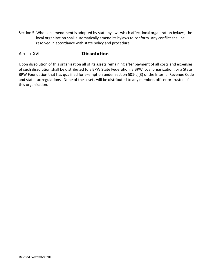Section 5. When an amendment is adopted by state bylaws which affect local organization bylaws, the local organization shall automatically amend its bylaws to conform. Any conflict shall be resolved in accordance with state policy and procedure.

#### **ARTICLE XVII Dissolution**

Upon dissolution of this organization all of its assets remaining after payment of all costs and expenses of such dissolution shall be distributed to a BPW State Federation, a BPW local organization, or a State BPW Foundation that has qualified for exemption under section 501(c)(3) of the Internal Revenue Code and state tax regulations. None of the assets will be distributed to any member, officer or trustee of this organization.